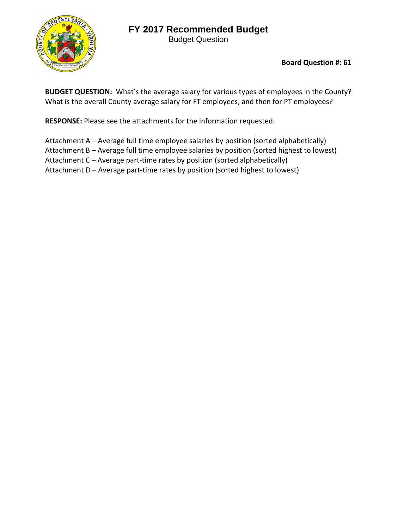# **FY 2017 Recommended Budget**

Budget Question



**Board Question #: 61**

**BUDGET QUESTION:** What's the average salary for various types of employees in the County? What is the overall County average salary for FT employees, and then for PT employees?

**RESPONSE:** Please see the attachments for the information requested.

Attachment A – Average full time employee salaries by position (sorted alphabetically) Attachment B – Average full time employee salaries by position (sorted highest to lowest) Attachment C – Average part-time rates by position (sorted alphabetically) Attachment D – Average part‐time rates by position (sorted highest to lowest)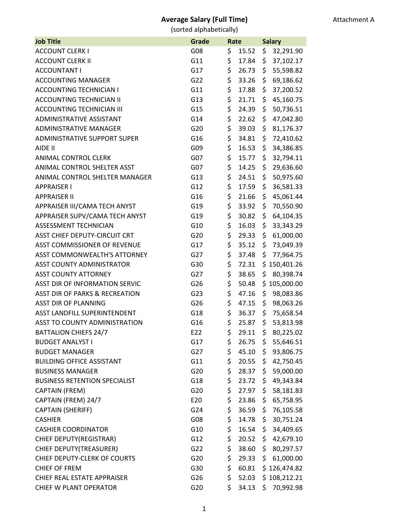| <b>Job Title</b>                          | Grade | Rate |       | <b>Salary</b> |              |
|-------------------------------------------|-------|------|-------|---------------|--------------|
| <b>ACCOUNT CLERK I</b>                    | G08   | \$   | 15.52 | \$            | 32,291.90    |
| <b>ACCOUNT CLERK II</b>                   | G11   | \$   | 17.84 | \$            | 37,102.17    |
| <b>ACCOUNTANT I</b>                       | G17   | \$   | 26.73 | \$            | 55,598.82    |
| <b>ACCOUNTING MANAGER</b>                 | G22   | \$   | 33.26 | \$            | 69,186.62    |
| <b>ACCOUNTING TECHNICIAN I</b>            | G11   | \$   | 17.88 | \$            | 37,200.52    |
| <b>ACCOUNTING TECHNICIAN II</b>           | G13   | \$   | 21.71 | \$            | 45,160.75    |
| <b>ACCOUNTING TECHNICIAN III</b>          | G15   | \$   | 24.39 | \$            | 50,736.51    |
| ADMINISTRATIVE ASSISTANT                  | G14   | \$   | 22.62 | \$            | 47,042.80    |
| <b>ADMINISTRATIVE MANAGER</b>             | G20   | \$   | 39.03 | \$            | 81,176.37    |
| <b>ADMINISTRATIVE SUPPORT SUPER</b>       | G16   | \$   | 34.81 | \$            | 72,410.62    |
| AIDE II                                   | G09   | \$   | 16.53 | \$            | 34,386.85    |
| <b>ANIMAL CONTROL CLERK</b>               | G07   | \$   | 15.77 | \$            | 32,794.11    |
| ANIMAL CONTROL SHELTER ASST               | G07   | \$   | 14.25 | \$            | 29,636.60    |
| ANIMAL CONTROL SHELTER MANAGER            | G13   | \$   | 24.51 | \$            | 50,975.60    |
| <b>APPRAISER I</b>                        | G12   | \$   | 17.59 | \$            | 36,581.33    |
| <b>APPRAISER II</b>                       | G16   | \$   | 21.66 | \$            | 45,061.44    |
| APPRAISER III/CAMA TECH ANYST             | G19   | \$   | 33.92 | \$            | 70,550.90    |
| APPRAISER SUPV/CAMA TECH ANYST            | G19   | \$   | 30.82 | \$            | 64,104.35    |
| ASSESSMENT TECHNICIAN                     | G10   | \$   | 16.03 | \$            | 33,343.29    |
| <b>ASST CHIEF DEPUTY-CIRCUIT CRT</b>      | G20   | \$   | 29.33 | \$            | 61,000.00    |
| <b>ASST COMMISSIONER OF REVENUE</b>       | G17   | \$   | 35.12 | \$            | 73,049.39    |
| <b>ASST COMMONWEALTH'S ATTORNEY</b>       | G27   | \$   | 37.48 | \$            | 77,964.75    |
| <b>ASST COUNTY ADMINISTRATOR</b>          | G30   | \$   | 72.31 | \$.           | 150,401.26   |
| <b>ASST COUNTY ATTORNEY</b>               | G27   | \$   | 38.65 | \$            | 80,398.74    |
| <b>ASST DIR OF INFORMATION SERVIC</b>     | G26   | \$   | 50.48 | \$            | 105,000.00   |
| <b>ASST DIR OF PARKS &amp; RECREATION</b> | G23   | \$   | 47.16 | \$            | 98,083.86    |
| <b>ASST DIR OF PLANNING</b>               | G26   | \$   | 47.15 | \$            | 98,063.26    |
| ASST LANDFILL SUPERINTENDENT              | G18   | \$   | 36.37 | \$            | 75,658.54    |
| <b>ASST TO COUNTY ADMINISTRATION</b>      | G16   | \$   | 25.87 | \$            | 53,813.98    |
| <b>BATTALION CHIEFS 24/7</b>              | E22   | \$   | 29.11 | \$            | 80,225.02    |
| <b>BUDGET ANALYST I</b>                   | G17   | \$   | 26.75 | \$.           | 55,646.51    |
| <b>BUDGET MANAGER</b>                     | G27   | \$   | 45.10 | \$            | 93,806.75    |
| <b>BUILDING OFFICE ASSISTANT</b>          | G11   | \$   | 20.55 | \$.           | 42,750.45    |
| <b>BUSINESS MANAGER</b>                   | G20   | \$   | 28.37 | \$            | 59,000.00    |
| <b>BUSINESS RETENTION SPECIALIST</b>      | G18   | \$   | 23.72 | \$.           | 49,343.84    |
| CAPTAIN (FREM)                            | G20   | \$   | 27.97 | \$            | 58,181.83    |
| CAPTAIN (FREM) 24/7                       | E20   | \$   | 23.86 | \$.           | 65,758.95    |
| CAPTAIN (SHERIFF)                         | G24   | \$   | 36.59 | \$            | 76,105.58    |
| <b>CASHIER</b>                            | G08   | \$   | 14.78 | \$            | 30,751.24    |
| <b>CASHIER COORDINATOR</b>                | G10   | \$   | 16.54 | \$            | 34,409.65    |
| CHIEF DEPUTY(REGISTRAR)                   | G12   | \$   | 20.52 | \$            | 42,679.10    |
| CHIEF DEPUTY(TREASURER)                   | G22   | \$   | 38.60 | \$            | 80,297.57    |
| CHIEF DEPUTY-CLERK OF COURTS              | G20   | \$   | 29.33 | \$            | 61,000.00    |
| <b>CHIEF OF FREM</b>                      | G30   | \$   | 60.81 | \$.           | 126,474.82   |
| CHIEF REAL ESTATE APPRAISER               | G26   | \$   | 52.03 |               | \$108,212.21 |
| <b>CHIEF W PLANT OPERATOR</b>             | G20   | \$   | 34.13 | \$            | 70,992.98    |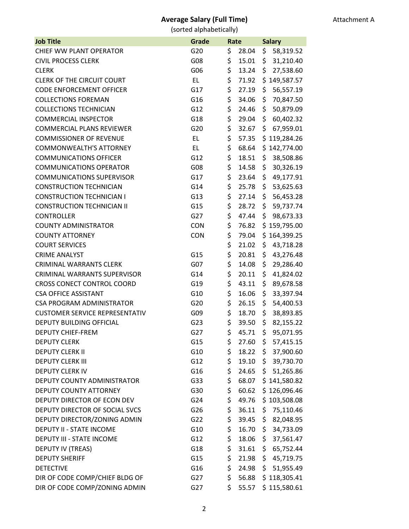| <b>Job Title</b>                      | Grade           | Rate |       | <b>Salary</b>    |  |
|---------------------------------------|-----------------|------|-------|------------------|--|
| CHIEF WW PLANT OPERATOR               | G20             | \$   | 28.04 | \$<br>58,319.52  |  |
| <b>CIVIL PROCESS CLERK</b>            | G08             | \$   | 15.01 | 31,210.40<br>\$. |  |
| <b>CLERK</b>                          | G06             | \$   | 13.24 | \$<br>27,538.60  |  |
| <b>CLERK OF THE CIRCUIT COURT</b>     | EL.             | \$   | 71.92 | \$149,587.57     |  |
| <b>CODE ENFORCEMENT OFFICER</b>       | G17             | \$   | 27.19 | \$<br>56,557.19  |  |
| <b>COLLECTIONS FOREMAN</b>            | G16             | \$   | 34.06 | \$<br>70,847.50  |  |
| <b>COLLECTIONS TECHNICIAN</b>         | G12             | \$   | 24.46 | 50,879.09<br>\$  |  |
| <b>COMMERCIAL INSPECTOR</b>           | G18             | \$   | 29.04 | \$<br>60,402.32  |  |
| <b>COMMERCIAL PLANS REVIEWER</b>      | G20             | \$   | 32.67 | 67,959.01<br>\$  |  |
| <b>COMMISSIONER OF REVENUE</b>        | EL.             | \$   | 57.35 | \$119,284.26     |  |
| <b>COMMONWEALTH'S ATTORNEY</b>        | EL              | \$   | 68.64 | \$142,774.00     |  |
| <b>COMMUNICATIONS OFFICER</b>         | G12             | \$   | 18.51 | \$<br>38,508.86  |  |
| <b>COMMUNICATIONS OPERATOR</b>        | G08             | \$   | 14.58 | \$<br>30,326.19  |  |
| <b>COMMUNICATIONS SUPERVISOR</b>      | G17             | \$   | 23.64 | 49,177.91<br>\$  |  |
| <b>CONSTRUCTION TECHNICIAN</b>        | G14             | \$   | 25.78 | \$<br>53,625.63  |  |
| <b>CONSTRUCTION TECHNICIAN I</b>      | G13             | \$   | 27.14 | 56,453.28<br>\$  |  |
| <b>CONSTRUCTION TECHNICIAN II</b>     | G15             | \$   | 28.72 | \$<br>59,737.74  |  |
| <b>CONTROLLER</b>                     | G27             | \$   | 47.44 | \$<br>98,673.33  |  |
| <b>COUNTY ADMINISTRATOR</b>           | <b>CON</b>      | \$   | 76.82 | \$159,795.00     |  |
| <b>COUNTY ATTORNEY</b>                | <b>CON</b>      | \$   | 79.04 | \$164,399.25     |  |
| <b>COURT SERVICES</b>                 |                 | \$   | 21.02 | \$<br>43,718.28  |  |
| <b>CRIME ANALYST</b>                  | G15             | \$   | 20.81 | \$<br>43,276.48  |  |
| <b>CRIMINAL WARRANTS CLERK</b>        | G <sub>07</sub> | \$   | 14.08 | 29,286.40<br>\$  |  |
| <b>CRIMINAL WARRANTS SUPERVISOR</b>   | G14             | \$   | 20.11 | \$<br>41,824.02  |  |
| CROSS CONECT CONTROL COORD            | G19             | \$   | 43.11 | \$<br>89,678.58  |  |
| <b>CSA OFFICE ASSISTANT</b>           | G10             | \$   | 16.06 | \$<br>33,397.94  |  |
| <b>CSA PROGRAM ADMINISTRATOR</b>      | G20             | \$   | 26.15 | \$<br>54,400.53  |  |
| <b>CUSTOMER SERVICE REPRESENTATIV</b> | G09             | \$   | 18.70 | \$<br>38,893.85  |  |
| DEPUTY BUILDING OFFICIAL              | G23             | \$   | 39.50 | \$<br>82,155.22  |  |
| DEPUTY CHIEF-FREM                     | G27             | \$   | 45.71 | \$<br>95,071.95  |  |
| <b>DEPUTY CLERK</b>                   | G15             | \$   | 27.60 | \$.<br>57,415.15 |  |
| <b>DEPUTY CLERK II</b>                | G10             | \$   | 18.22 | 37,900.60<br>\$  |  |
| <b>DEPUTY CLERK III</b>               | G12             | \$   | 19.10 | 39,730.70<br>\$. |  |
| <b>DEPUTY CLERK IV</b>                | G16             | \$   | 24.65 | \$.<br>51,265.86 |  |
| DEPUTY COUNTY ADMINISTRATOR           | G33             | \$   | 68.07 | \$141,580.82     |  |
| DEPUTY COUNTY ATTORNEY                | G30             | \$   | 60.62 | \$126,096.46     |  |
| DEPUTY DIRECTOR OF ECON DEV           | G24             | \$   | 49.76 | \$103,508.08     |  |
| DEPUTY DIRECTOR OF SOCIAL SVCS        | G26             | \$   | 36.11 | 75,110.46<br>\$  |  |
| DEPUTY DIRECTOR/ZONING ADMIN          | G22             | \$   | 39.45 | 82,048.95<br>\$. |  |
| <b>DEPUTY II - STATE INCOME</b>       | G10             | \$   | 16.70 | 34,733.09<br>\$. |  |
| DEPUTY III - STATE INCOME             | G12             | \$   | 18.06 | \$.<br>37,561.47 |  |
| DEPUTY IV (TREAS)                     | G18             | \$   | 31.61 | 65,752.44<br>\$. |  |
| <b>DEPUTY SHERIFF</b>                 | G15             | \$   | 21.98 | \$<br>45,719.75  |  |
| <b>DETECTIVE</b>                      | G16             | \$   | 24.98 | 51,955.49<br>\$. |  |
| DIR OF CODE COMP/CHIEF BLDG OF        | G27             | \$   | 56.88 | \$118,305.41     |  |
| DIR OF CODE COMP/ZONING ADMIN         | G27             | \$   | 55.57 | \$115,580.61     |  |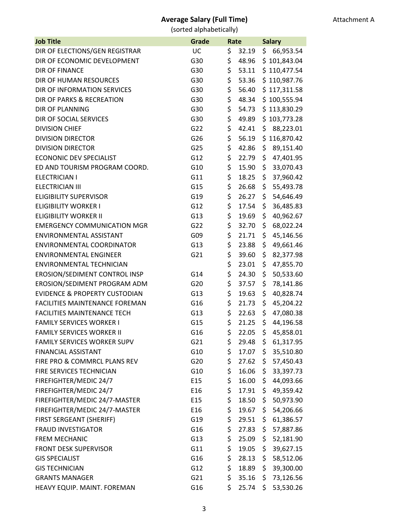Attachment A

| <b>Job Title</b>                         | Grade | Rate                   |     | <b>Salary</b> |  |
|------------------------------------------|-------|------------------------|-----|---------------|--|
| DIR OF ELECTIONS/GEN REGISTRAR           | UC    | \$<br>32.19            | \$  | 66,953.54     |  |
| DIR OF ECONOMIC DEVELOPMENT              | G30   | \$<br>48.96            |     | \$101,843.04  |  |
| <b>DIR OF FINANCE</b>                    | G30   | \$<br>53.11            |     | \$110,477.54  |  |
| DIR OF HUMAN RESOURCES                   | G30   | \$<br>53.36            |     | \$110,987.76  |  |
| DIR OF INFORMATION SERVICES              | G30   | \$<br>56.40            |     | \$117,311.58  |  |
| DIR OF PARKS & RECREATION                | G30   | \$<br>48.34            |     | \$100,555.94  |  |
| <b>DIR OF PLANNING</b>                   | G30   | \$<br>54.73            |     | \$113,830.29  |  |
| DIR OF SOCIAL SERVICES                   | G30   | \$<br>49.89            |     | \$103,773.28  |  |
| <b>DIVISION CHIEF</b>                    | G22   | \$<br>42.41            | \$  | 88,223.01     |  |
| <b>DIVISION DIRECTOR</b>                 | G26   | \$<br>56.19            |     | \$116,870.42  |  |
| <b>DIVISION DIRECTOR</b>                 | G25   | \$<br>42.86            | \$  | 89,151.40     |  |
| <b>ECONONIC DEV SPECIALIST</b>           | G12   | \$<br>22.79            | \$  | 47,401.95     |  |
| ED AND TOURISM PROGRAM COORD.            | G10   | \$<br>15.90            | \$  | 33,070.43     |  |
| <b>ELECTRICIAN I</b>                     | G11   | \$<br>18.25            | \$  | 37,960.42     |  |
| <b>ELECTRICIAN III</b>                   | G15   | \$<br>26.68            | \$  | 55,493.78     |  |
| <b>ELIGIBILITY SUPERVISOR</b>            | G19   | \$<br>26.27            | \$  | 54,646.49     |  |
| <b>ELIGIBILITY WORKER I</b>              | G12   | \$<br>17.54            | \$  | 36,485.83     |  |
| <b>ELIGIBILITY WORKER II</b>             | G13   | \$<br>19.69            | \$  | 40,962.67     |  |
| <b>EMERGENCY COMMUNICATION MGR</b>       | G22   | \$<br>32.70            | \$  | 68,022.24     |  |
| ENVIRONMENTAL ASSISTANT                  | G09   | \$<br>21.71            | \$  | 45,146.56     |  |
| <b>ENVIRONMENTAL COORDINATOR</b>         | G13   | \$<br>23.88            | \$  | 49,661.46     |  |
| <b>ENVIRONMENTAL ENGINEER</b>            | G21   | \$<br>39.60            | \$  | 82,377.98     |  |
| <b>ENVIRONMENTAL TECHNICIAN</b>          |       | \$<br>23.01            | \$  | 47,855.70     |  |
| EROSION/SEDIMENT CONTROL INSP            | G14   | \$<br>24.30            | \$  | 50,533.60     |  |
| EROSION/SEDIMENT PROGRAM ADM             | G20   | \$<br>37.57            | \$  | 78,141.86     |  |
| <b>EVIDENCE &amp; PROPERTY CUSTODIAN</b> | G13   | \$<br>19.63            | \$  | 40,828.74     |  |
| <b>FACILITIES MAINTENANCE FOREMAN</b>    | G16   | \$<br>21.73            | \$  | 45,204.22     |  |
| <b>FACILITIES MAINTENANCE TECH</b>       | G13   | \$<br>22.63            | \$  | 47,080.38     |  |
| <b>FAMILY SERVICES WORKER I</b>          | G15   | \$<br>21.25            | \$  | 44,196.58     |  |
| <b>FAMILY SERVICES WORKER II</b>         | G16   | \$<br>22.05            | \$  | 45,858.01     |  |
| <b>FAMILY SERVICES WORKER SUPV</b>       | G21   | \$<br>$29.48 \; \; \$$ |     | 61,317.95     |  |
| <b>FINANCIAL ASSISTANT</b>               | G10   | \$<br>17.07            | \$. | 35,510.80     |  |
| FIRE PRO & COMMRCL PLANS REV             | G20   | \$<br>27.62            | \$  | 57,450.43     |  |
| FIRE SERVICES TECHNICIAN                 | G10   | \$<br>16.06            | \$  | 33,397.73     |  |
| FIREFIGHTER/MEDIC 24/7                   | E15   | \$<br>16.00            | \$  | 44,093.66     |  |
| FIREFIGHTER/MEDIC 24/7                   | E16   | \$<br>17.91            | \$  | 49,359.42     |  |
| FIREFIGHTER/MEDIC 24/7-MASTER            | E15   | \$<br>18.50            | \$  | 50,973.90     |  |
| FIREFIGHTER/MEDIC 24/7-MASTER            | E16   | \$<br>19.67            | \$  | 54,206.66     |  |
| FIRST SERGEANT (SHERIFF)                 | G19   | \$<br>29.51            | \$  | 61,386.57     |  |
| <b>FRAUD INVESTIGATOR</b>                | G16   | \$<br>27.83            | \$  | 57,887.86     |  |
| <b>FREM MECHANIC</b>                     | G13   | \$<br>25.09            | \$  | 52,181.90     |  |
| <b>FRONT DESK SUPERVISOR</b>             | G11   | \$<br>19.05            | \$  | 39,627.15     |  |
| <b>GIS SPECIALIST</b>                    | G16   | \$<br>28.13            | \$  | 58,512.06     |  |
| <b>GIS TECHNICIAN</b>                    | G12   | \$<br>18.89            | \$. | 39,300.00     |  |
| <b>GRANTS MANAGER</b>                    | G21   | \$<br>35.16            | \$. | 73,126.56     |  |
| HEAVY EQUIP. MAINT. FOREMAN              | G16   | \$<br>25.74            | \$  | 53,530.26     |  |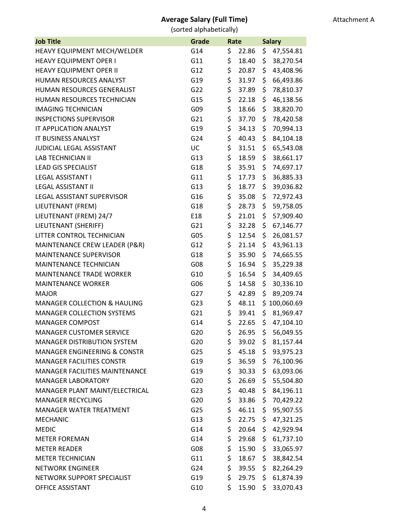Attachment A

| <b>Job Title</b>                        | Grade | Rate |       | <b>Salary</b> |              |
|-----------------------------------------|-------|------|-------|---------------|--------------|
| HEAVY EQUIPMENT MECH/WELDER             | G14   | \$   | 22.86 | \$            | 47,554.81    |
| <b>HEAVY EQUIPMENT OPER I</b>           | G11   | \$   | 18.40 | \$            | 38,270.54    |
| <b>HEAVY EQUIPMENT OPER II</b>          | G12   | \$   | 20.87 | \$            | 43,408.96    |
| HUMAN RESOURCES ANALYST                 | G19   | \$   | 31.97 | \$            | 66,493.86    |
| HUMAN RESOURCES GENERALIST              | G22   | \$   | 37.89 | \$            | 78,810.37    |
| HUMAN RESOURCES TECHNICIAN              | G15   | \$   | 22.18 | \$            | 46,138.56    |
| <b>IMAGING TECHNICIAN</b>               | G09   | \$   | 18.66 | \$            | 38,820.70    |
| <b>INSPECTIONS SUPERVISOR</b>           | G21   | \$   | 37.70 | \$            | 78,420.58    |
| IT APPLICATION ANALYST                  | G19   | \$   | 34.13 | \$            | 70,994.13    |
| IT BUSINESS ANALYST                     | G24   | \$   | 40.43 | \$            | 84,104.18    |
| <b>JUDICIAL LEGAL ASSISTANT</b>         | UC    | \$   | 31.51 | \$            | 65,543.08    |
| <b>LAB TECHNICIAN II</b>                | G13   | \$   | 18.59 | \$            | 38,661.17    |
| <b>LEAD GIS SPECIALIST</b>              | G18   | \$   | 35.91 | \$            | 74,697.17    |
| <b>LEGAL ASSISTANT I</b>                | G11   | \$   | 17.73 | \$            | 36,885.33    |
| <b>LEGAL ASSISTANT II</b>               | G13   | \$   | 18.77 | \$            | 39,036.82    |
| LEGAL ASSISTANT SUPERVISOR              | G16   | \$   | 35.08 | \$            | 72,972.43    |
| LIEUTENANT (FREM)                       | G18   | \$   | 28.73 | \$.           | 59,758.05    |
| LIEUTENANT (FREM) 24/7                  | E18   | \$   | 21.01 | \$            | 57,909.40    |
| LIEUTENANT (SHERIFF)                    | G21   | \$   | 32.28 | \$            | 67,146.77    |
| LITTER CONTROL TECHNICIAN               | G05   | \$   | 12.54 | \$            | 26,081.57    |
| MAINTENANCE CREW LEADER (P&R)           | G12   | \$   | 21.14 | \$            | 43,961.13    |
| <b>MAINTENANCE SUPERVISOR</b>           | G18   | \$   | 35.90 | \$.           | 74,665.55    |
| MAINTENANCE TECHNICIAN                  | G08   | \$   | 16.94 | \$            | 35,229.38    |
| MAINTENANCE TRADE WORKER                | G10   | \$   | 16.54 | \$.           | 34,409.65    |
| <b>MAINTENANCE WORKER</b>               | G06   | \$   | 14.58 | \$            | 30,336.10    |
| <b>MAJOR</b>                            | G27   | \$   | 42.89 | \$            | 89,209.74    |
| <b>MANAGER COLLECTION &amp; HAULING</b> | G23   | \$   | 48.11 |               | \$100,060.69 |
| <b>MANAGER COLLECTION SYSTEMS</b>       | G21   | \$   | 39.41 | \$            | 81,969.47    |
| <b>MANAGER COMPOST</b>                  | G14   | \$   | 22.65 | \$            | 47,104.10    |
| <b>MANAGER CUSTOMER SERVICE</b>         | G20   | \$   | 26.95 | \$            | 56,049.55    |
| <b>MANAGER DISTRIBUTION SYSTEM</b>      | G20   | \$   | 39.02 | \$.           | 81,157.44    |
| <b>MANAGER ENGINEERING &amp; CONSTR</b> | G25   | \$   | 45.18 | \$.           | 93,975.23    |
| <b>MANAGER FACILITIES CONSTR</b>        | G19   | \$   | 36.59 | \$            | 76,100.96    |
| MANAGER FACILITIES MAINTENANCE          | G19   | \$   | 30.33 | \$.           | 63,093.06    |
| <b>MANAGER LABORATORY</b>               | G20   | \$   | 26.69 | \$.           | 55,504.80    |
| MANAGER PLANT MAINT/ELECTRICAL          | G23   | \$   | 40.48 | \$.           | 84,196.11    |
| <b>MANAGER RECYCLING</b>                | G20   | \$   | 33.86 | \$            | 70,429.22    |
| MANAGER WATER TREATMENT                 | G25   | \$   | 46.11 | \$.           | 95,907.55    |
| <b>MECHANIC</b>                         | G13   | \$   | 22.75 | \$.           | 47,321.25    |
| <b>MEDIC</b>                            | G14   | \$   | 20.64 | \$            | 42,929.94    |
| <b>METER FOREMAN</b>                    | G14   | \$   | 29.68 | \$.           | 61,737.10    |
| <b>METER READER</b>                     | G08   | \$   | 15.90 | \$            | 33,065.97    |
| <b>METER TECHNICIAN</b>                 | G11   | \$   | 18.67 | \$.           | 38,842.54    |
| <b>NETWORK ENGINEER</b>                 | G24   | \$   | 39.55 | \$.           | 82,264.29    |
| NETWORK SUPPORT SPECIALIST              | G19   | \$   | 29.75 | \$.           | 61,874.39    |
| <b>OFFICE ASSISTANT</b>                 | G10   | \$   | 15.90 | \$.           | 33,070.43    |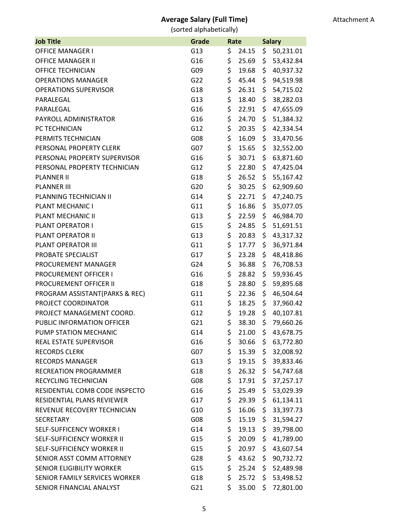| <b>Job Title</b>                  | Grade | Rate |       | <b>Salary</b> |           |
|-----------------------------------|-------|------|-------|---------------|-----------|
| <b>OFFICE MANAGER I</b>           | G13   | \$   | 24.15 | \$            | 50,231.01 |
| <b>OFFICE MANAGER II</b>          | G16   | \$   | 25.69 | \$            | 53,432.84 |
| <b>OFFICE TECHNICIAN</b>          | G09   | \$   | 19.68 | \$            | 40,937.32 |
| <b>OPERATIONS MANAGER</b>         | G22   | \$   | 45.44 | \$            | 94,519.98 |
| <b>OPERATIONS SUPERVISOR</b>      | G18   | \$   | 26.31 | \$            | 54,715.02 |
| PARALEGAL                         | G13   | \$   | 18.40 | \$            | 38,282.03 |
| PARALEGAL                         | G16   | \$   | 22.91 | \$            | 47,655.09 |
| PAYROLL ADMINISTRATOR             | G16   | \$   | 24.70 | \$            | 51,384.32 |
| PC TECHNICIAN                     | G12   | \$   | 20.35 | \$            | 42,334.54 |
| PERMITS TECHNICIAN                | G08   | \$   | 16.09 | \$            | 33,470.56 |
| PERSONAL PROPERTY CLERK           | G07   | \$   | 15.65 | \$            | 32,552.00 |
| PERSONAL PROPERTY SUPERVISOR      | G16   | \$   | 30.71 | \$            | 63,871.60 |
| PERSONAL PROPERTY TECHNICIAN      | G12   | \$   | 22.80 | \$            | 47,425.04 |
| <b>PLANNER II</b>                 | G18   | \$   | 26.52 | \$            | 55,167.42 |
| <b>PLANNER III</b>                | G20   | \$   | 30.25 | \$            | 62,909.60 |
| PLANNING TECHNICIAN II            | G14   | \$   | 22.71 | \$            | 47,240.75 |
| PLANT MECHANIC I                  | G11   | \$   | 16.86 | \$            | 35,077.05 |
| PLANT MECHANIC II                 | G13   | \$   | 22.59 | \$            | 46,984.70 |
| PLANT OPERATOR I                  | G15   | \$   | 24.85 | \$            | 51,691.51 |
| PLANT OPERATOR II                 | G13   | \$   | 20.83 | \$            | 43,317.32 |
| PLANT OPERATOR III                | G11   | \$   | 17.77 | \$            | 36,971.84 |
| PROBATE SPECIALIST                | G17   | \$   | 23.28 | \$            | 48,418.86 |
| PROCUREMENT MANAGER               | G24   | \$   | 36.88 | \$            | 76,708.53 |
| <b>PROCUREMENT OFFICER I</b>      | G16   | \$   | 28.82 | \$            | 59,936.45 |
| PROCUREMENT OFFICER II            | G18   | \$   | 28.80 | \$            | 59,895.68 |
| PROGRAM ASSISTANT(PARKS & REC)    | G11   | \$   | 22.36 | \$            | 46,504.64 |
| PROJECT COORDINATOR               | G11   | \$   | 18.25 | \$            | 37,960.42 |
| PROJECT MANAGEMENT COORD.         | G12   | \$   | 19.28 | \$            | 40,107.81 |
| PUBLIC INFORMATION OFFICER        | G21   | \$   | 38.30 | \$            | 79,660.26 |
| PUMP STATION MECHANIC             | G14   | Ś    | 21.00 | \$            | 43,678.75 |
| REAL ESTATE SUPERVISOR            | G16   | \$   | 30.66 | \$            | 63,772.80 |
| <b>RECORDS CLERK</b>              | G07   | \$   | 15.39 | \$            | 32,008.92 |
| <b>RECORDS MANAGER</b>            | G13   | \$   | 19.15 | \$            | 39,833.46 |
| <b>RECREATION PROGRAMMER</b>      | G18   | \$   | 26.32 | \$            | 54,747.68 |
| RECYCLING TECHNICIAN              | G08   | \$   | 17.91 | \$            | 37,257.17 |
| RESIDENTIAL COMB CODE INSPECTO    | G16   | \$   | 25.49 | \$            | 53,029.39 |
| <b>RESIDENTIAL PLANS REVIEWER</b> | G17   | \$   | 29.39 | \$            | 61,134.11 |
| REVENUE RECOVERY TECHNICIAN       | G10   | \$   | 16.06 | \$            | 33,397.73 |
| <b>SECRETARY</b>                  | G08   | \$   | 15.19 | \$            | 31,594.27 |
| <b>SELF-SUFFICENCY WORKER I</b>   | G14   | \$   | 19.13 | \$            | 39,798.00 |
| <b>SELF-SUFFICIENCY WORKER II</b> | G15   | \$   | 20.09 | \$            | 41,789.00 |
| SELF-SUFFICIENCY WORKER II        | G15   | \$   | 20.97 | \$            | 43,607.54 |
| SENIOR ASST COMM ATTORNEY         | G28   | \$   | 43.62 | \$            | 90,732.72 |
| <b>SENIOR ELIGIBILITY WORKER</b>  | G15   | \$   | 25.24 | \$            | 52,489.98 |
| SENIOR FAMILY SERVICES WORKER     | G18   | \$   | 25.72 | \$.           | 53,498.52 |
| SENIOR FINANCIAL ANALYST          | G21   | \$   | 35.00 | \$            | 72,801.00 |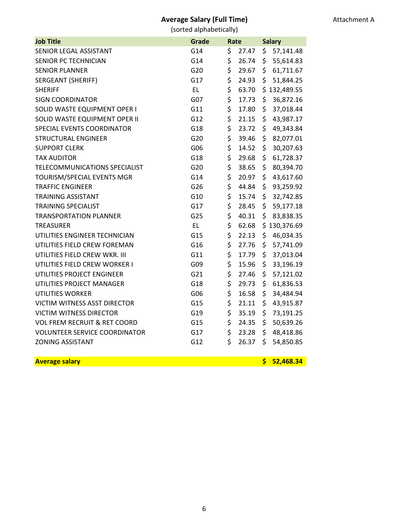(sorted alphabetically)

| <b>Job Title</b>                        | Grade     | Rate |       | <b>Salary</b> |              |
|-----------------------------------------|-----------|------|-------|---------------|--------------|
| SENIOR LEGAL ASSISTANT                  | G14       | \$   | 27.47 | \$            | 57,141.48    |
| SENIOR PC TECHNICIAN                    | G14       | \$   | 26.74 | \$            | 55,614.83    |
| <b>SENIOR PLANNER</b>                   | G20       | \$   | 29.67 | \$            | 61,711.67    |
| <b>SERGEANT (SHERIFF)</b>               | G17       | \$   | 24.93 | \$            | 51,844.25    |
| <b>SHERIFF</b>                          | <b>EL</b> | \$   | 63.70 |               | \$132,489.55 |
| <b>SIGN COORDINATOR</b>                 | G07       | \$   | 17.73 | \$            | 36,872.16    |
| SOLID WASTE EQUIPMENT OPER I            | G11       | \$   | 17.80 | \$            | 37,018.44    |
| SOLID WASTE EQUIPMENT OPER II           | G12       | \$   | 21.15 | \$            | 43,987.17    |
| SPECIAL EVENTS COORDINATOR              | G18       | \$   | 23.72 | \$            | 49,343.84    |
| <b>STRUCTURAL ENGINEER</b>              | G20       | \$   | 39.46 | \$            | 82,077.01    |
| <b>SUPPORT CLERK</b>                    | G06       | \$   | 14.52 | \$            | 30,207.63    |
| <b>TAX AUDITOR</b>                      | G18       | \$   | 29.68 | \$            | 61,728.37    |
| TELECOMMUNICATIONS SPECIALIST           | G20       | \$   | 38.65 | \$            | 80,394.70    |
| TOURISM/SPECIAL EVENTS MGR              | G14       | \$   | 20.97 | \$            | 43,617.60    |
| TRAFFIC ENGINEER                        | G26       | \$   | 44.84 | \$            | 93,259.92    |
| <b>TRAINING ASSISTANT</b>               | G10       | \$   | 15.74 | \$            | 32,742.85    |
| <b>TRAINING SPECIALIST</b>              | G17       | \$   | 28.45 | \$            | 59,177.18    |
| <b>TRANSPORTATION PLANNER</b>           | G25       | \$   | 40.31 | \$            | 83,838.35    |
| <b>TREASURER</b>                        | <b>EL</b> | \$   | 62.68 |               | \$130,376.69 |
| UTILITIES ENGINEER TECHNICIAN           | G15       | \$   | 22.13 | \$            | 46,034.35    |
| UTILITIES FIELD CREW FOREMAN            | G16       | \$   | 27.76 | \$            | 57,741.09    |
| UTILITIES FIELD CREW WKR. III           | G11       | \$   | 17.79 | \$            | 37,013.04    |
| UTILITIES FIELD CREW WORKER I           | G09       | \$   | 15.96 | \$            | 33,196.19    |
| UTILITIES PROJECT ENGINEER              | G21       | \$   | 27.46 | \$            | 57,121.02    |
| UTILITIES PROJECT MANAGER               | G18       | \$   | 29.73 | \$            | 61,836.53    |
| UTILITIES WORKER                        | G06       | \$   | 16.58 | \$            | 34,484.94    |
| <b>VICTIM WITNESS ASST DIRECTOR</b>     | G15       | \$   | 21.11 | \$            | 43,915.87    |
| <b>VICTIM WITNESS DIRECTOR</b>          | G19       | \$   | 35.19 | \$            | 73,191.25    |
| <b>VOL FREM RECRUIT &amp; RET COORD</b> | G15       | \$   | 24.35 | \$            | 50,639.26    |
| <b>VOLUNTEER SERVICE COORDINATOR</b>    | G17       | \$   | 23.28 | \$            | 48,418.86    |
| <b>ZONING ASSISTANT</b>                 | G12       | \$   | 26.37 | \$            | 54,850.85    |
| <b>Average salary</b>                   |           |      |       | \$            | 52,468.34    |
|                                         |           |      |       |               |              |

6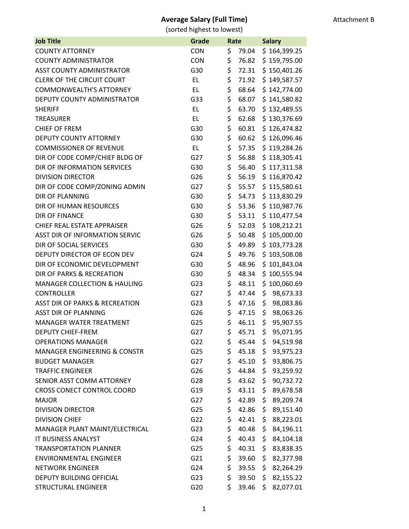| <b>Job Title</b>                        | Grade      | Rate |       | <b>Salary</b> |              |
|-----------------------------------------|------------|------|-------|---------------|--------------|
| <b>COUNTY ATTORNEY</b>                  | <b>CON</b> | \$   | 79.04 |               | \$164,399.25 |
| <b>COUNTY ADMINISTRATOR</b>             | <b>CON</b> | \$   | 76.82 |               | \$159,795.00 |
| <b>ASST COUNTY ADMINISTRATOR</b>        | G30        | \$   | 72.31 |               | \$150,401.26 |
| <b>CLERK OF THE CIRCUIT COURT</b>       | EL         | \$   | 71.92 |               | \$149,587.57 |
| <b>COMMONWEALTH'S ATTORNEY</b>          | EL.        | \$   | 68.64 |               | \$142,774.00 |
| DEPUTY COUNTY ADMINISTRATOR             | G33        | \$   | 68.07 |               | \$141,580.82 |
| <b>SHERIFF</b>                          | EL.        | \$   | 63.70 |               | \$132,489.55 |
| <b>TREASURER</b>                        | EL.        | \$   | 62.68 |               | \$130,376.69 |
| <b>CHIEF OF FREM</b>                    | G30        | \$   | 60.81 |               | \$126,474.82 |
| <b>DEPUTY COUNTY ATTORNEY</b>           | G30        | \$   | 60.62 |               | \$126,096.46 |
| <b>COMMISSIONER OF REVENUE</b>          | EL.        | \$   | 57.35 |               | \$119,284.26 |
| DIR OF CODE COMP/CHIEF BLDG OF          | G27        | \$   | 56.88 |               | \$118,305.41 |
| DIR OF INFORMATION SERVICES             | G30        | \$   | 56.40 |               | \$117,311.58 |
| <b>DIVISION DIRECTOR</b>                | G26        | \$   | 56.19 |               | \$116,870.42 |
| DIR OF CODE COMP/ZONING ADMIN           | G27        | \$   | 55.57 |               | \$115,580.61 |
| <b>DIR OF PLANNING</b>                  | G30        | \$   | 54.73 |               | \$113,830.29 |
| DIR OF HUMAN RESOURCES                  | G30        | \$   | 53.36 |               | \$110,987.76 |
| <b>DIR OF FINANCE</b>                   | G30        | \$   | 53.11 |               | \$110,477.54 |
| <b>CHIEF REAL ESTATE APPRAISER</b>      | G26        | \$   | 52.03 |               | \$108,212.21 |
| ASST DIR OF INFORMATION SERVIC          | G26        | \$   | 50.48 |               | \$105,000.00 |
| DIR OF SOCIAL SERVICES                  | G30        | \$   | 49.89 |               | \$103,773.28 |
| DEPUTY DIRECTOR OF ECON DEV             | G24        | \$   | 49.76 |               | \$103,508.08 |
| DIR OF ECONOMIC DEVELOPMENT             | G30        | \$   | 48.96 |               | \$101,843.04 |
| DIR OF PARKS & RECREATION               | G30        | \$   | 48.34 |               | \$100,555.94 |
| <b>MANAGER COLLECTION &amp; HAULING</b> | G23        | \$   | 48.11 |               | \$100,060.69 |
| <b>CONTROLLER</b>                       | G27        | \$   | 47.44 | \$            | 98,673.33    |
| ASST DIR OF PARKS & RECREATION          | G23        | \$   | 47.16 | \$            | 98,083.86    |
| <b>ASST DIR OF PLANNING</b>             | G26        | \$   | 47.15 | \$            | 98,063.26    |
| <b>MANAGER WATER TREATMENT</b>          | G25        | \$   | 46.11 | \$            | 95,907.55    |
| <b>DEPUTY CHIEF-FREM</b>                | G27        | Ś    | 45.71 | \$            | 95,071.95    |
| <b>OPERATIONS MANAGER</b>               | G22        | \$   | 45.44 | \$.           | 94,519.98    |
| <b>MANAGER ENGINEERING &amp; CONSTR</b> | G25        | \$   | 45.18 | \$            | 93,975.23    |
| <b>BUDGET MANAGER</b>                   | G27        | \$   | 45.10 | \$            | 93,806.75    |
| <b>TRAFFIC ENGINEER</b>                 | G26        | \$   | 44.84 | \$            | 93,259.92    |
| SENIOR ASST COMM ATTORNEY               | G28        | \$   | 43.62 | \$            | 90,732.72    |
| CROSS CONECT CONTROL COORD              | G19        | \$   | 43.11 | \$.           | 89,678.58    |
| <b>MAJOR</b>                            | G27        | \$   | 42.89 | \$            | 89,209.74    |
| <b>DIVISION DIRECTOR</b>                | G25        | \$   | 42.86 | \$            | 89,151.40    |
| <b>DIVISION CHIEF</b>                   | G22        | \$   | 42.41 | \$            | 88,223.01    |
| MANAGER PLANT MAINT/ELECTRICAL          | G23        | \$   | 40.48 | \$            | 84,196.11    |
| IT BUSINESS ANALYST                     | G24        | \$   | 40.43 | \$            | 84,104.18    |
| <b>TRANSPORTATION PLANNER</b>           | G25        | \$   | 40.31 | \$            | 83,838.35    |
| <b>ENVIRONMENTAL ENGINEER</b>           | G21        | \$   | 39.60 | \$            | 82,377.98    |
| <b>NETWORK ENGINEER</b>                 | G24        | \$   | 39.55 | \$            | 82,264.29    |
| DEPUTY BUILDING OFFICIAL                | G23        | \$   | 39.50 | \$            | 82,155.22    |
| <b>STRUCTURAL ENGINEER</b>              | G20        | \$   | 39.46 | Ŝ.            | 82,077.01    |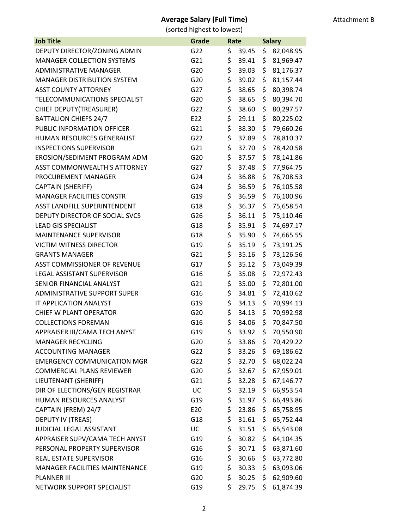| <b>Job Title</b>                    | Grade           | Rate |       | <b>Salary</b> |           |
|-------------------------------------|-----------------|------|-------|---------------|-----------|
| DEPUTY DIRECTOR/ZONING ADMIN        | G22             | \$   | 39.45 | \$            | 82,048.95 |
| <b>MANAGER COLLECTION SYSTEMS</b>   | G21             | \$   | 39.41 | \$            | 81,969.47 |
| <b>ADMINISTRATIVE MANAGER</b>       | G20             | \$   | 39.03 | \$            | 81,176.37 |
| <b>MANAGER DISTRIBUTION SYSTEM</b>  | G20             | \$   | 39.02 | \$            | 81,157.44 |
| <b>ASST COUNTY ATTORNEY</b>         | G27             | \$   | 38.65 | \$            | 80,398.74 |
| TELECOMMUNICATIONS SPECIALIST       | G20             | \$   | 38.65 | \$            | 80,394.70 |
| CHIEF DEPUTY(TREASURER)             | G22             | \$   | 38.60 | \$            | 80,297.57 |
| <b>BATTALION CHIEFS 24/7</b>        | E22             | \$   | 29.11 | \$            | 80,225.02 |
| PUBLIC INFORMATION OFFICER          | G21             | \$   | 38.30 | \$            | 79,660.26 |
| HUMAN RESOURCES GENERALIST          | G22             | \$   | 37.89 | \$            | 78,810.37 |
| <b>INSPECTIONS SUPERVISOR</b>       | G21             | \$   | 37.70 | \$            | 78,420.58 |
| EROSION/SEDIMENT PROGRAM ADM        | G20             | \$   | 37.57 | \$            | 78,141.86 |
| <b>ASST COMMONWEALTH'S ATTORNEY</b> | G27             | \$   | 37.48 | \$            | 77,964.75 |
| PROCUREMENT MANAGER                 | G <sub>24</sub> | \$   | 36.88 | \$            | 76,708.53 |
| <b>CAPTAIN (SHERIFF)</b>            | G24             | \$   | 36.59 | \$            | 76,105.58 |
| <b>MANAGER FACILITIES CONSTR</b>    | G19             | \$   | 36.59 | \$            | 76,100.96 |
| ASST LANDFILL SUPERINTENDENT        | G18             | \$   | 36.37 | \$            | 75,658.54 |
| DEPUTY DIRECTOR OF SOCIAL SVCS      | G26             | \$   | 36.11 | \$            | 75,110.46 |
| <b>LEAD GIS SPECIALIST</b>          | G18             | \$   | 35.91 | \$            | 74,697.17 |
| <b>MAINTENANCE SUPERVISOR</b>       | G18             | \$   | 35.90 | \$            | 74,665.55 |
| <b>VICTIM WITNESS DIRECTOR</b>      | G19             | \$   | 35.19 | \$            | 73,191.25 |
| <b>GRANTS MANAGER</b>               | G21             | \$   | 35.16 | \$            | 73,126.56 |
| <b>ASST COMMISSIONER OF REVENUE</b> | G17             | \$   | 35.12 | \$            | 73,049.39 |
| LEGAL ASSISTANT SUPERVISOR          | G16             | \$   | 35.08 | \$            | 72,972.43 |
| SENIOR FINANCIAL ANALYST            | G21             | \$   | 35.00 | \$            | 72,801.00 |
| <b>ADMINISTRATIVE SUPPORT SUPER</b> | G16             | \$   | 34.81 | \$            | 72,410.62 |
| IT APPLICATION ANALYST              | G19             | \$   | 34.13 | \$            | 70,994.13 |
| CHIEF W PLANT OPERATOR              | G20             | \$   | 34.13 | \$            | 70,992.98 |
| <b>COLLECTIONS FOREMAN</b>          | G16             | \$   | 34.06 | \$            | 70,847.50 |
| APPRAISER III/CAMA TECH ANYST       | G19             | \$   | 33.92 | \$            | 70,550.90 |
| <b>MANAGER RECYCLING</b>            | G20             | \$   | 33.86 | \$            | 70,429.22 |
| <b>ACCOUNTING MANAGER</b>           | G22             | \$   | 33.26 | \$            | 69,186.62 |
| <b>EMERGENCY COMMUNICATION MGR</b>  | G22             | \$   | 32.70 | \$            | 68,022.24 |
| <b>COMMERCIAL PLANS REVIEWER</b>    | G20             | \$   | 32.67 | \$            | 67,959.01 |
| LIEUTENANT (SHERIFF)                | G21             | \$   | 32.28 | \$            | 67,146.77 |
| DIR OF ELECTIONS/GEN REGISTRAR      | UC              | \$   | 32.19 | \$            | 66,953.54 |
| HUMAN RESOURCES ANALYST             | G19             | \$   | 31.97 | \$            | 66,493.86 |
| CAPTAIN (FREM) 24/7                 | E20             | \$   | 23.86 | \$            | 65,758.95 |
| DEPUTY IV (TREAS)                   | G18             | \$   | 31.61 | \$            | 65,752.44 |
| JUDICIAL LEGAL ASSISTANT            | UC              | \$   | 31.51 | \$            | 65,543.08 |
| APPRAISER SUPV/CAMA TECH ANYST      | G19             | \$   | 30.82 | \$            | 64,104.35 |
| PERSONAL PROPERTY SUPERVISOR        | G16             | \$   | 30.71 | \$            | 63,871.60 |
| REAL ESTATE SUPERVISOR              | G16             | \$   | 30.66 | \$            | 63,772.80 |
| MANAGER FACILITIES MAINTENANCE      | G19             | \$   | 30.33 | \$            | 63,093.06 |
| <b>PLANNER III</b>                  | G20             | \$   | 30.25 | \$            | 62,909.60 |
| NETWORK SUPPORT SPECIALIST          | G19             | \$   | 29.75 | \$.           | 61,874.39 |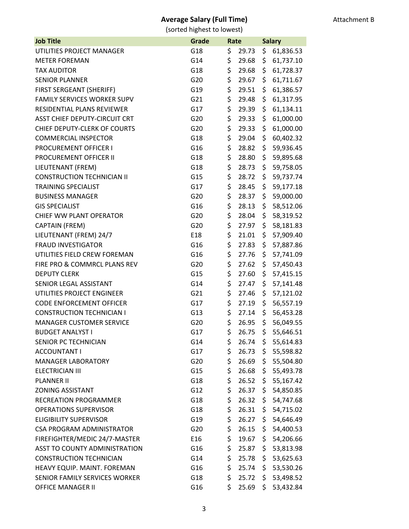| <b>Job Title</b>                    | Grade | Rate |       |     | <b>Salary</b> |
|-------------------------------------|-------|------|-------|-----|---------------|
| UTILITIES PROJECT MANAGER           | G18   | \$   | 29.73 | \$  | 61,836.53     |
| <b>METER FOREMAN</b>                | G14   | \$   | 29.68 | \$  | 61,737.10     |
| <b>TAX AUDITOR</b>                  | G18   | \$   | 29.68 | \$  | 61,728.37     |
| <b>SENIOR PLANNER</b>               | G20   | \$   | 29.67 | \$  | 61,711.67     |
| FIRST SERGEANT (SHERIFF)            | G19   | \$   | 29.51 | \$  | 61,386.57     |
| <b>FAMILY SERVICES WORKER SUPV</b>  | G21   | \$   | 29.48 | \$  | 61,317.95     |
| RESIDENTIAL PLANS REVIEWER          | G17   | \$   | 29.39 | \$  | 61,134.11     |
| ASST CHIEF DEPUTY-CIRCUIT CRT       | G20   | \$   | 29.33 | \$  | 61,000.00     |
| <b>CHIEF DEPUTY-CLERK OF COURTS</b> | G20   | \$   | 29.33 | \$  | 61,000.00     |
| <b>COMMERCIAL INSPECTOR</b>         | G18   | \$   | 29.04 | \$  | 60,402.32     |
| PROCUREMENT OFFICER I               | G16   | \$   | 28.82 | \$  | 59,936.45     |
| PROCUREMENT OFFICER II              | G18   | \$   | 28.80 | \$  | 59,895.68     |
| LIEUTENANT (FREM)                   | G18   | \$   | 28.73 | \$  | 59,758.05     |
| <b>CONSTRUCTION TECHNICIAN II</b>   | G15   | \$   | 28.72 | \$  | 59,737.74     |
| <b>TRAINING SPECIALIST</b>          | G17   | \$   | 28.45 | \$  | 59,177.18     |
| <b>BUSINESS MANAGER</b>             | G20   | \$   | 28.37 | \$  | 59,000.00     |
| <b>GIS SPECIALIST</b>               | G16   | \$   | 28.13 | \$  | 58,512.06     |
| CHIEF WW PLANT OPERATOR             | G20   | \$   | 28.04 | \$  | 58,319.52     |
| CAPTAIN (FREM)                      | G20   | \$   | 27.97 | \$  | 58,181.83     |
| LIEUTENANT (FREM) 24/7              | E18   | \$   | 21.01 | \$  | 57,909.40     |
| <b>FRAUD INVESTIGATOR</b>           | G16   | \$   | 27.83 | \$  | 57,887.86     |
| UTILITIES FIELD CREW FOREMAN        | G16   | \$   | 27.76 | \$  | 57,741.09     |
| FIRE PRO & COMMRCL PLANS REV        | G20   | \$   | 27.62 | \$  | 57,450.43     |
| <b>DEPUTY CLERK</b>                 | G15   | \$   | 27.60 | \$  | 57,415.15     |
| SENIOR LEGAL ASSISTANT              | G14   | \$   | 27.47 | \$  | 57,141.48     |
| UTILITIES PROJECT ENGINEER          | G21   | \$   | 27.46 | \$  | 57,121.02     |
| <b>CODE ENFORCEMENT OFFICER</b>     | G17   | \$   | 27.19 | \$  | 56,557.19     |
| <b>CONSTRUCTION TECHNICIAN I</b>    | G13   | \$   | 27.14 | \$  | 56,453.28     |
| <b>MANAGER CUSTOMER SERVICE</b>     | G20   | \$   | 26.95 | \$  | 56,049.55     |
| <b>BUDGET ANALYST I</b>             | G17   | \$   | 26.75 | \$  | 55,646.51     |
| SENIOR PC TECHNICIAN                | G14   | \$   | 26.74 | \$. | 55,614.83     |
| <b>ACCOUNTANT I</b>                 | G17   | \$   | 26.73 | \$. | 55,598.82     |
| <b>MANAGER LABORATORY</b>           | G20   | \$   | 26.69 | \$  | 55,504.80     |
| <b>ELECTRICIAN III</b>              | G15   | \$   | 26.68 | \$  | 55,493.78     |
| <b>PLANNER II</b>                   | G18   | \$   | 26.52 | \$  | 55,167.42     |
| <b>ZONING ASSISTANT</b>             | G12   | \$   | 26.37 | \$  | 54,850.85     |
| <b>RECREATION PROGRAMMER</b>        | G18   | \$   | 26.32 | \$  | 54,747.68     |
| <b>OPERATIONS SUPERVISOR</b>        | G18   | \$   | 26.31 | \$  | 54,715.02     |
| <b>ELIGIBILITY SUPERVISOR</b>       | G19   | \$   | 26.27 | \$  | 54,646.49     |
| CSA PROGRAM ADMINISTRATOR           | G20   | \$   | 26.15 | \$  | 54,400.53     |
| FIREFIGHTER/MEDIC 24/7-MASTER       | E16   | \$   | 19.67 | \$. | 54,206.66     |
| ASST TO COUNTY ADMINISTRATION       | G16   | \$   | 25.87 | \$  | 53,813.98     |
| <b>CONSTRUCTION TECHNICIAN</b>      | G14   | \$   | 25.78 | \$  | 53,625.63     |
| HEAVY EQUIP. MAINT. FOREMAN         | G16   | \$   | 25.74 | \$  | 53,530.26     |
| SENIOR FAMILY SERVICES WORKER       | G18   | \$   | 25.72 | \$. | 53,498.52     |
| <b>OFFICE MANAGER II</b>            | G16   | \$   | 25.69 | \$. | 53,432.84     |
|                                     |       |      |       |     |               |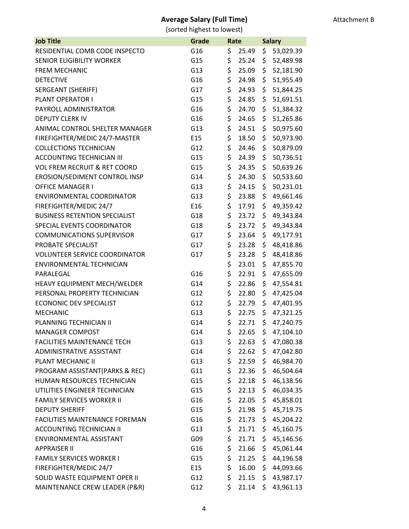| <b>Job Title</b>                        | Grade           | Rate |                   | <b>Salary</b> |           |
|-----------------------------------------|-----------------|------|-------------------|---------------|-----------|
| RESIDENTIAL COMB CODE INSPECTO          | G16             | \$   | 25.49             | \$            | 53,029.39 |
| <b>SENIOR ELIGIBILITY WORKER</b>        | G15             | \$   | 25.24             | \$            | 52,489.98 |
| <b>FREM MECHANIC</b>                    | G13             | \$   | 25.09             | \$            | 52,181.90 |
| <b>DETECTIVE</b>                        | G16             | \$   | 24.98             | \$            | 51,955.49 |
| <b>SERGEANT (SHERIFF)</b>               | G17             | \$   | 24.93             | \$            | 51,844.25 |
| PLANT OPERATOR I                        | G15             | \$   | 24.85             | \$            | 51,691.51 |
| PAYROLL ADMINISTRATOR                   | G16             | \$   | 24.70             | \$            | 51,384.32 |
| <b>DEPUTY CLERK IV</b>                  | G16             | \$   | 24.65             | \$            | 51,265.86 |
| ANIMAL CONTROL SHELTER MANAGER          | G13             | \$   | 24.51             | \$            | 50,975.60 |
| FIREFIGHTER/MEDIC 24/7-MASTER           | E15             | \$   | 18.50             | \$            | 50,973.90 |
| <b>COLLECTIONS TECHNICIAN</b>           | G12             | \$   | 24.46             | \$            | 50,879.09 |
| <b>ACCOUNTING TECHNICIAN III</b>        | G15             | \$   | 24.39             | \$            | 50,736.51 |
| <b>VOL FREM RECRUIT &amp; RET COORD</b> | G15             | \$   | 24.35             | \$            | 50,639.26 |
| EROSION/SEDIMENT CONTROL INSP           | G14             | \$   | 24.30             | \$            | 50,533.60 |
| <b>OFFICE MANAGER I</b>                 | G13             | \$   | 24.15             | \$            | 50,231.01 |
| <b>ENVIRONMENTAL COORDINATOR</b>        | G13             | \$   | 23.88             | \$            | 49,661.46 |
| FIREFIGHTER/MEDIC 24/7                  | E16             | \$   | 17.91             | \$            | 49,359.42 |
| <b>BUSINESS RETENTION SPECIALIST</b>    | G18             | \$   | 23.72             | \$            | 49,343.84 |
| SPECIAL EVENTS COORDINATOR              | G18             | \$   | 23.72             | \$            | 49,343.84 |
| <b>COMMUNICATIONS SUPERVISOR</b>        | G17             | \$   | 23.64             | \$            | 49,177.91 |
| PROBATE SPECIALIST                      | G17             | \$   | 23.28             | \$            | 48,418.86 |
| <b>VOLUNTEER SERVICE COORDINATOR</b>    | G17             | \$   | 23.28             | \$            | 48,418.86 |
| <b>ENVIRONMENTAL TECHNICIAN</b>         |                 | \$   | 23.01             | \$            | 47,855.70 |
| PARALEGAL                               | G16             | \$   | 22.91             | \$            | 47,655.09 |
| HEAVY EQUIPMENT MECH/WELDER             | G14             | \$   | 22.86             | \$            | 47,554.81 |
| PERSONAL PROPERTY TECHNICIAN            | G12             | \$   | 22.80             | \$            | 47,425.04 |
| <b>ECONONIC DEV SPECIALIST</b>          | G12             | \$   | 22.79             | \$            | 47,401.95 |
| <b>MECHANIC</b>                         | G13             | \$   | 22.75             | \$            | 47,321.25 |
| PLANNING TECHNICIAN II                  | G14             | \$   | 22.71             | \$            | 47,240.75 |
| <b>MANAGER COMPOST</b>                  | G14             | \$   | 22.65             | \$            | 47,104.10 |
| <b>FACILITIES MAINTENANCE TECH</b>      | G13             | \$   | $22.63 \; \simeq$ |               | 47,080.38 |
| ADMINISTRATIVE ASSISTANT                | G14             | \$   | 22.62             | \$            | 47,042.80 |
| PLANT MECHANIC II                       | G13             | \$   | 22.59             | \$            | 46,984.70 |
| PROGRAM ASSISTANT(PARKS & REC)          | G11             | \$   | 22.36             | \$            | 46,504.64 |
| HUMAN RESOURCES TECHNICIAN              | G15             | \$   | 22.18             | \$            | 46,138.56 |
| UTILITIES ENGINEER TECHNICIAN           | G15             | \$   | 22.13             | \$            | 46,034.35 |
| <b>FAMILY SERVICES WORKER II</b>        | G16             | \$   | 22.05             | \$            | 45,858.01 |
| <b>DEPUTY SHERIFF</b>                   | G15             | \$   | 21.98             | \$            | 45,719.75 |
| <b>FACILITIES MAINTENANCE FOREMAN</b>   | G16             | \$   | 21.73             | \$            | 45,204.22 |
| <b>ACCOUNTING TECHNICIAN II</b>         | G13             | \$   | 21.71             | \$            | 45,160.75 |
| ENVIRONMENTAL ASSISTANT                 | G09             | \$   | 21.71             | \$            | 45,146.56 |
| <b>APPRAISER II</b>                     | G16             | \$   | 21.66             | \$            | 45,061.44 |
| <b>FAMILY SERVICES WORKER I</b>         | G15             | \$   | 21.25             | \$            | 44,196.58 |
| FIREFIGHTER/MEDIC 24/7                  | E <sub>15</sub> | \$   | 16.00             | \$            | 44,093.66 |
| SOLID WASTE EQUIPMENT OPER II           | G12             | \$   | 21.15             | \$            | 43,987.17 |
| MAINTENANCE CREW LEADER (P&R)           | G12             | \$   | 21.14             | \$.           | 43,961.13 |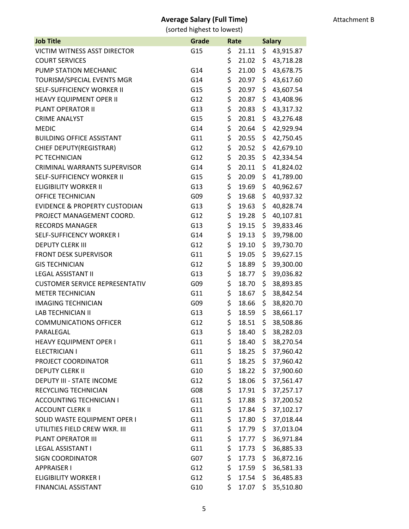| <b>Job Title</b>                         | Grade | Rate |       | <b>Salary</b> |           |
|------------------------------------------|-------|------|-------|---------------|-----------|
| VICTIM WITNESS ASST DIRECTOR             | G15   | \$   | 21.11 | \$            | 43,915.87 |
| <b>COURT SERVICES</b>                    |       | \$   | 21.02 | \$            | 43,718.28 |
| PUMP STATION MECHANIC                    | G14   | \$   | 21.00 | \$            | 43,678.75 |
| TOURISM/SPECIAL EVENTS MGR               | G14   | \$   | 20.97 | \$            | 43,617.60 |
| SELF-SUFFICIENCY WORKER II               | G15   | \$   | 20.97 | \$            | 43,607.54 |
| HEAVY EQUIPMENT OPER II                  | G12   | \$   | 20.87 | \$            | 43,408.96 |
| PLANT OPERATOR II                        | G13   | \$   | 20.83 | \$            | 43,317.32 |
| <b>CRIME ANALYST</b>                     | G15   | \$   | 20.81 | \$            | 43,276.48 |
| <b>MEDIC</b>                             | G14   | \$   | 20.64 | \$            | 42,929.94 |
| <b>BUILDING OFFICE ASSISTANT</b>         | G11   | \$   | 20.55 | \$            | 42,750.45 |
| CHIEF DEPUTY(REGISTRAR)                  | G12   | \$   | 20.52 | \$            | 42,679.10 |
| PC TECHNICIAN                            | G12   | \$   | 20.35 | \$            | 42,334.54 |
| <b>CRIMINAL WARRANTS SUPERVISOR</b>      | G14   | \$   | 20.11 | \$            | 41,824.02 |
| <b>SELF-SUFFICIENCY WORKER II</b>        | G15   | \$   | 20.09 | \$            | 41,789.00 |
| <b>ELIGIBILITY WORKER II</b>             | G13   | \$   | 19.69 | \$            | 40,962.67 |
| OFFICE TECHNICIAN                        | G09   | \$   | 19.68 | \$            | 40,937.32 |
| <b>EVIDENCE &amp; PROPERTY CUSTODIAN</b> | G13   | \$   | 19.63 | \$            | 40,828.74 |
| PROJECT MANAGEMENT COORD.                | G12   | \$   | 19.28 | \$            | 40,107.81 |
| <b>RECORDS MANAGER</b>                   | G13   | \$   | 19.15 | \$            | 39,833.46 |
| SELF-SUFFICENCY WORKER I                 | G14   | \$   | 19.13 | \$            | 39,798.00 |
| <b>DEPUTY CLERK III</b>                  | G12   | \$   | 19.10 | \$            | 39,730.70 |
| <b>FRONT DESK SUPERVISOR</b>             | G11   | \$   | 19.05 | \$            | 39,627.15 |
| <b>GIS TECHNICIAN</b>                    | G12   | \$   | 18.89 | \$            | 39,300.00 |
| <b>LEGAL ASSISTANT II</b>                | G13   | \$   | 18.77 | \$            | 39,036.82 |
| <b>CUSTOMER SERVICE REPRESENTATIV</b>    | G09   | \$   | 18.70 | \$            | 38,893.85 |
| <b>METER TECHNICIAN</b>                  | G11   | \$   | 18.67 | \$            | 38,842.54 |
| <b>IMAGING TECHNICIAN</b>                | G09   | \$   | 18.66 | \$            | 38,820.70 |
| <b>LAB TECHNICIAN II</b>                 | G13   | \$   | 18.59 | \$            | 38,661.17 |
| <b>COMMUNICATIONS OFFICER</b>            | G12   | \$   | 18.51 | \$            | 38,508.86 |
| PARALEGAL                                | G13   | \$   | 18.40 | \$            | 38,282.03 |
| <b>HEAVY EQUIPMENT OPER I</b>            | G11   | \$   | 18.40 | \$            | 38,270.54 |
| <b>ELECTRICIAN I</b>                     | G11   | \$   | 18.25 | \$            | 37,960.42 |
| PROJECT COORDINATOR                      | G11   | \$   | 18.25 | \$            | 37,960.42 |
| <b>DEPUTY CLERK II</b>                   | G10   | \$   | 18.22 | \$            | 37,900.60 |
| DEPUTY III - STATE INCOME                | G12   | \$   | 18.06 | \$            | 37,561.47 |
| RECYCLING TECHNICIAN                     | G08   | \$   | 17.91 | \$            | 37,257.17 |
| <b>ACCOUNTING TECHNICIAN I</b>           | G11   | \$   | 17.88 | \$            | 37,200.52 |
| <b>ACCOUNT CLERK II</b>                  | G11   | \$   | 17.84 | \$            | 37,102.17 |
| SOLID WASTE EQUIPMENT OPER I             | G11   | \$   | 17.80 | \$            | 37,018.44 |
| UTILITIES FIELD CREW WKR. III            | G11   | \$   | 17.79 | \$            | 37,013.04 |
| PLANT OPERATOR III                       | G11   | \$   | 17.77 | \$            | 36,971.84 |
| <b>LEGAL ASSISTANT I</b>                 | G11   | \$   | 17.73 | \$            | 36,885.33 |
| <b>SIGN COORDINATOR</b>                  | G07   | \$   | 17.73 | \$            | 36,872.16 |
| <b>APPRAISER I</b>                       | G12   | \$   | 17.59 | \$            | 36,581.33 |
| <b>ELIGIBILITY WORKER I</b>              | G12   | \$   | 17.54 | \$.           | 36,485.83 |
| <b>FINANCIAL ASSISTANT</b>               | G10   | \$   | 17.07 | \$.           | 35,510.80 |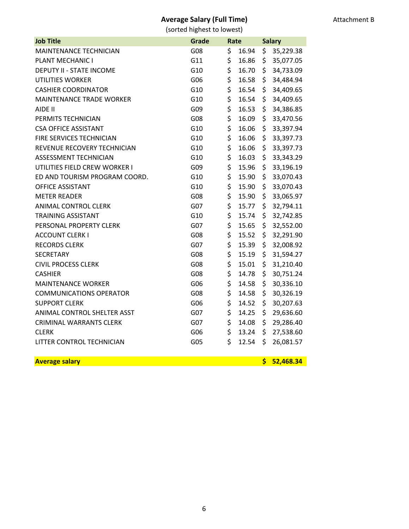### Attachment B

## **Average Salary (Full Time)**

| <b>Job Title</b>                | Grade | Rate |       | <b>Salary</b> |             |
|---------------------------------|-------|------|-------|---------------|-------------|
| MAINTENANCE TECHNICIAN          | G08   | \$   | 16.94 | \$            | 35,229.38   |
| PLANT MECHANIC I                | G11   | \$   | 16.86 | \$            | 35,077.05   |
| <b>DEPUTY II - STATE INCOME</b> | G10   | \$   | 16.70 | \$            | 34,733.09   |
| <b>UTILITIES WORKER</b>         | G06   | \$   | 16.58 | \$            | 34,484.94   |
| <b>CASHIER COORDINATOR</b>      | G10   | \$   | 16.54 | \$            | 34,409.65   |
| <b>MAINTENANCE TRADE WORKER</b> | G10   | \$   | 16.54 | \$            | 34,409.65   |
| AIDE II                         | G09   | \$   | 16.53 | \$            | 34,386.85   |
| PERMITS TECHNICIAN              | G08   | \$   | 16.09 | \$            | 33,470.56   |
| <b>CSA OFFICE ASSISTANT</b>     | G10   | \$   | 16.06 | \$            | 33,397.94   |
| FIRE SERVICES TECHNICIAN        | G10   | \$   | 16.06 | \$            | 33,397.73   |
| REVENUE RECOVERY TECHNICIAN     | G10   | \$   | 16.06 | \$            | 33,397.73   |
| ASSESSMENT TECHNICIAN           | G10   | \$   | 16.03 | \$            | 33, 343. 29 |
| UTILITIES FIELD CREW WORKER I   | G09   | \$   | 15.96 | \$            | 33,196.19   |
| ED AND TOURISM PROGRAM COORD.   | G10   | \$   | 15.90 | \$            | 33,070.43   |
| <b>OFFICE ASSISTANT</b>         | G10   | \$   | 15.90 | \$            | 33,070.43   |
| <b>METER READER</b>             | G08   | \$   | 15.90 | \$            | 33,065.97   |
| <b>ANIMAL CONTROL CLERK</b>     | G07   | \$   | 15.77 | \$            | 32,794.11   |
| <b>TRAINING ASSISTANT</b>       | G10   | \$   | 15.74 | \$            | 32,742.85   |
| PERSONAL PROPERTY CLERK         | G07   | \$   | 15.65 | \$            | 32,552.00   |
| <b>ACCOUNT CLERK I</b>          | G08   | \$   | 15.52 | \$            | 32,291.90   |
| <b>RECORDS CLERK</b>            | G07   | \$   | 15.39 | \$            | 32,008.92   |
| <b>SECRETARY</b>                | G08   | \$   | 15.19 | \$            | 31,594.27   |
| <b>CIVIL PROCESS CLERK</b>      | G08   | \$   | 15.01 | \$            | 31,210.40   |
| <b>CASHIER</b>                  | G08   | \$   | 14.78 | \$            | 30,751.24   |
| <b>MAINTENANCE WORKER</b>       | G06   | \$   | 14.58 | \$            | 30,336.10   |
| <b>COMMUNICATIONS OPERATOR</b>  | G08   | \$   | 14.58 | \$            | 30,326.19   |
| <b>SUPPORT CLERK</b>            | G06   | \$   | 14.52 | \$            | 30,207.63   |
| ANIMAL CONTROL SHELTER ASST     | G07   | \$   | 14.25 | \$            | 29,636.60   |
| <b>CRIMINAL WARRANTS CLERK</b>  | G07   | \$   | 14.08 | \$            | 29,286.40   |
| <b>CLERK</b>                    | G06   | \$   | 13.24 | \$            | 27,538.60   |
| LITTER CONTROL TECHNICIAN       | G05   | \$   | 12.54 | \$            | 26,081.57   |
| <b>Average salary</b>           |       |      |       | \$            | 52,468.34   |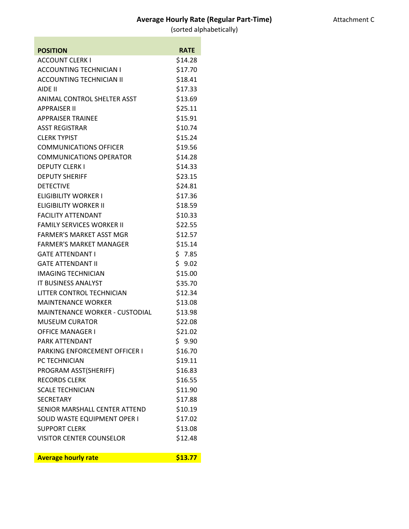| Attachment C |
|--------------|
|--------------|

| <b>POSITION</b>                       | <b>RATE</b> |
|---------------------------------------|-------------|
| <b>ACCOUNT CLERK I</b>                | \$14.28     |
| <b>ACCOUNTING TECHNICIAN I</b>        | \$17.70     |
| <b>ACCOUNTING TECHNICIAN II</b>       | \$18.41     |
| AIDE II                               | \$17.33     |
| ANIMAL CONTROL SHELTER ASST           | \$13.69     |
| <b>APPRAISER II</b>                   | \$25.11     |
| <b>APPRAISER TRAINEE</b>              | \$15.91     |
| <b>ASST REGISTRAR</b>                 | \$10.74     |
| <b>CLERK TYPIST</b>                   | \$15.24     |
| <b>COMMUNICATIONS OFFICER</b>         | \$19.56     |
| <b>COMMUNICATIONS OPERATOR</b>        | \$14.28     |
| <b>DEPUTY CLERK I</b>                 | \$14.33     |
| <b>DEPUTY SHERIFF</b>                 | \$23.15     |
| <b>DETECTIVE</b>                      | \$24.81     |
| <b>ELIGIBILITY WORKER I</b>           | \$17.36     |
| <b>ELIGIBILITY WORKER II</b>          | \$18.59     |
| <b>FACILITY ATTENDANT</b>             | \$10.33     |
| <b>FAMILY SERVICES WORKER II</b>      | \$22.55     |
| <b>FARMER'S MARKET ASST MGR</b>       | \$12.57     |
| <b>FARMER'S MARKET MANAGER</b>        | \$15.14     |
| <b>GATE ATTENDANT I</b>               | \$7.85      |
| <b>GATE ATTENDANT II</b>              | \$9.02      |
| <b>IMAGING TECHNICIAN</b>             | \$15.00     |
| <b>IT BUSINESS ANALYST</b>            | \$35.70     |
| <b>LITTER CONTROL TECHNICIAN</b>      | \$12.34     |
| <b>MAINTENANCE WORKER</b>             | \$13.08     |
| <b>MAINTENANCE WORKER - CUSTODIAL</b> | \$13.98     |
| <b>MUSEUM CURATOR</b>                 | \$22.08     |
| <b>OFFICE MANAGER I</b>               | \$21.02     |
| PARK ATTENDANT                        | \$9.90      |
| PARKING ENFORCEMENT OFFICER I         | \$16.70     |
| PC TECHNICIAN                         | \$19.11     |
| PROGRAM ASST(SHERIFF)                 | \$16.83     |
| <b>RECORDS CLERK</b>                  | \$16.55     |
| <b>SCALE TECHNICIAN</b>               | \$11.90     |
| <b>SECRETARY</b>                      | \$17.88     |
| SENIOR MARSHALL CENTER ATTEND         | \$10.19     |
| SOLID WASTE EQUIPMENT OPER I          | \$17.02     |
| <b>SUPPORT CLERK</b>                  | \$13.08     |
| <b>VISITOR CENTER COUNSELOR</b>       | \$12.48     |
| <b>Average hourly rate</b>            | \$13.77     |
|                                       |             |